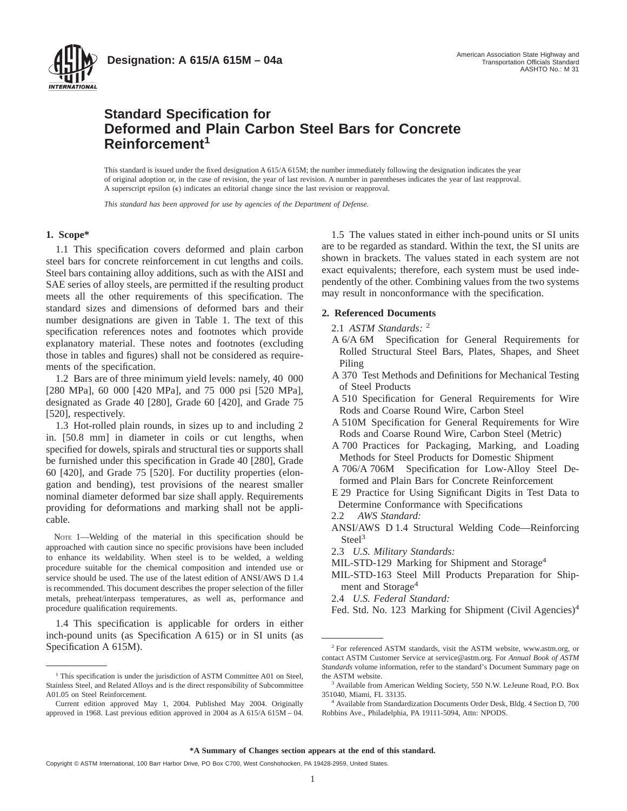

# **Standard Specification for Deformed and Plain Carbon Steel Bars for Concrete Reinforcement<sup>1</sup>**

This standard is issued under the fixed designation A 615/A 615M; the number immediately following the designation indicates the year of original adoption or, in the case of revision, the year of last revision. A number in parentheses indicates the year of last reapproval. A superscript epsilon  $(\epsilon)$  indicates an editorial change since the last revision or reapproval.

*This standard has been approved for use by agencies of the Department of Defense.*

#### **1. Scope\***

1.1 This specification covers deformed and plain carbon steel bars for concrete reinforcement in cut lengths and coils. Steel bars containing alloy additions, such as with the AISI and SAE series of alloy steels, are permitted if the resulting product meets all the other requirements of this specification. The standard sizes and dimensions of deformed bars and their number designations are given in Table 1. The text of this specification references notes and footnotes which provide explanatory material. These notes and footnotes (excluding those in tables and figures) shall not be considered as requirements of the specification.

1.2 Bars are of three minimum yield levels: namely, 40 000 [280 MPa], 60 000 [420 MPa], and 75 000 psi [520 MPa], designated as Grade 40 [280], Grade 60 [420], and Grade 75 [520], respectively.

1.3 Hot-rolled plain rounds, in sizes up to and including 2 in. [50.8 mm] in diameter in coils or cut lengths, when specified for dowels, spirals and structural ties or supports shall be furnished under this specification in Grade 40 [280], Grade 60 [420], and Grade 75 [520]. For ductility properties (elongation and bending), test provisions of the nearest smaller nominal diameter deformed bar size shall apply. Requirements providing for deformations and marking shall not be applicable.

NOTE 1—Welding of the material in this specification should be approached with caution since no specific provisions have been included to enhance its weldability. When steel is to be welded, a welding procedure suitable for the chemical composition and intended use or service should be used. The use of the latest edition of ANSI/AWS D 1.4 is recommended. This document describes the proper selection of the filler metals, preheat/interpass temperatures, as well as, performance and procedure qualification requirements.

1.4 This specification is applicable for orders in either inch-pound units (as Specification A 615) or in SI units (as Specification A 615M).

1.5 The values stated in either inch-pound units or SI units are to be regarded as standard. Within the text, the SI units are shown in brackets. The values stated in each system are not exact equivalents; therefore, each system must be used independently of the other. Combining values from the two systems may result in nonconformance with the specification.

#### **2. Referenced Documents**

- 2.1 *ASTM Standards:* <sup>2</sup>
- A 6/A 6M Specification for General Requirements for Rolled Structural Steel Bars, Plates, Shapes, and Sheet Piling
- A 370 Test Methods and Definitions for Mechanical Testing of Steel Products
- A 510 Specification for General Requirements for Wire Rods and Coarse Round Wire, Carbon Steel
- A 510M Specification for General Requirements for Wire Rods and Coarse Round Wire, Carbon Steel (Metric)
- A 700 Practices for Packaging, Marking, and Loading Methods for Steel Products for Domestic Shipment
- A 706/A 706M Specification for Low-Alloy Steel Deformed and Plain Bars for Concrete Reinforcement
- E 29 Practice for Using Significant Digits in Test Data to Determine Conformance with Specifications
- 2.2 *AWS Standard:*
- ANSI/AWS D 1.4 Structural Welding Code—Reinforcing  $Steel<sup>3</sup>$
- 2.3 *U.S. Military Standards:*

- MIL-STD-163 Steel Mill Products Preparation for Shipment and Storage<sup>4</sup>
- 2.4 *U.S. Federal Standard:*
- Fed. Std. No. 123 Marking for Shipment (Civil Agencies)<sup>4</sup>

<sup>&</sup>lt;sup>1</sup> This specification is under the jurisdiction of ASTM Committee A01 on Steel, Stainless Steel, and Related Alloys and is the direct responsibility of Subcommittee A01.05 on Steel Reinforcement.

Current edition approved May 1, 2004. Published May 2004. Originally approved in 1968. Last previous edition approved in 2004 as A 615/A 615M – 04.

MIL-STD-129 Marking for Shipment and Storage<sup>4</sup>

<sup>2</sup> For referenced ASTM standards, visit the ASTM website, www.astm.org, or contact ASTM Customer Service at service@astm.org. For *Annual Book of ASTM Standards* volume information, refer to the standard's Document Summary page on the ASTM website.

<sup>&</sup>lt;sup>3</sup> Available from American Welding Society, 550 N.W. LeJeune Road, P.O. Box 351040, Miami, FL 33135.

<sup>4</sup> Available from Standardization Documents Order Desk, Bldg. 4 Section D, 700 Robbins Ave., Philadelphia, PA 19111-5094, Attn: NPODS.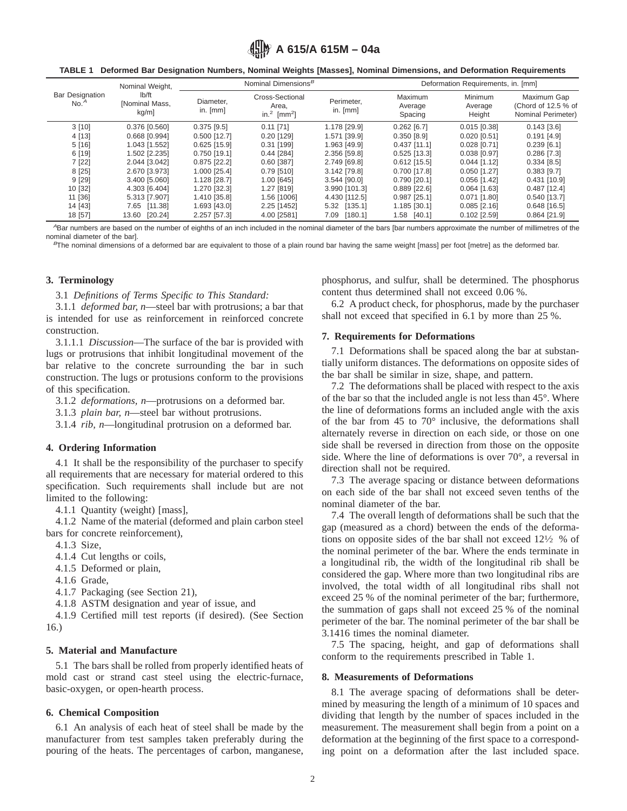**A 615/A 615M – 04a**

|  | TABLE 1 Deformed Bar Designation Numbers, Nominal Weights [Masses], Nominal Dimensions, and Deformation Requirements |  |  |  |  |  |  |  |  |  |  |  |
|--|----------------------------------------------------------------------------------------------------------------------|--|--|--|--|--|--|--|--|--|--|--|
|--|----------------------------------------------------------------------------------------------------------------------|--|--|--|--|--|--|--|--|--|--|--|

|                                   | Nominal Weight,                  | Nominal Dimensions <sup>B</sup>     |                                                                 |                          | Deformation Requirements, in. [mm] |                              |                                                          |
|-----------------------------------|----------------------------------|-------------------------------------|-----------------------------------------------------------------|--------------------------|------------------------------------|------------------------------|----------------------------------------------------------|
| <b>Bar Designation</b><br>$No.^A$ | lb/ft<br>[Nominal Mass,<br>kg/m] | Diameter,<br>in. $\lceil mm \rceil$ | Cross-Sectional<br>Area.<br>in. <sup>2</sup> [mm <sup>2</sup> ] | Perimeter,<br>in. $[mm]$ | Maximum<br>Average<br>Spacing      | Minimum<br>Average<br>Height | Maximum Gap<br>(Chord of 12.5 % of<br>Nominal Perimeter) |
| 3[10]                             | 0.376 [0.560]                    | $0.375$ [9.5]                       | $0.11$ [71]                                                     | 1.178 [29.9]             | $0.262$ [6.7]                      | $0.015$ $[0.38]$             | $0.143$ [3.6]                                            |
| 4 [13]                            | $0.668$ [0.994]                  | $0.500$ [12.7]                      | $0.20$ [129]                                                    | 1.571 [39.9]             | $0.350$ $[8.9]$                    | $0.020$ $[0.51]$             | $0.191$ [4.9]                                            |
| 5[16]                             | 1.043 [1.552]                    | $0.625$ [15.9]                      | $0.31$ [199]                                                    | 1.963 [49.9]             | $0.437$ [11.1]                     | $0.028$ [0.71]               | $0.239$ [6.1]                                            |
| 6 [19]                            | 1.502 [2.235]                    | $0.750$ [19.1]                      | $0.44$ [284]                                                    | 2.356 [59.8]             | $0.525$ [13.3]                     | $0.038$ [0.97]               | $0.286$ [7.3]                                            |
| 7 [22]                            | 2.044 [3.042]                    | $0.875$ [22.2]                      | 0.60 [387]                                                      | 2.749 [69.8]             | $0.612$ [15.5]                     | $0.044$ [1.12]               | $0.334$ [8.5]                                            |
| 8[25]                             | 2.670 [3.973]                    | 1.000 [25.4]                        | $0.79$ [510]                                                    | 3.142 [79.8]             | $0.700$ [17.8]                     | $0.050$ [1.27]               | $0.383$ [9.7]                                            |
| 9 [29]                            | 3.400 [5.060]                    | 1.128 [28.7]                        | 1.00 [645]                                                      | 3.544 [90.0]             | $0.790$ [20.1]                     | $0.056$ [1.42]               | $0.431$ [10.9]                                           |
| 10 [32]                           | 4.303 [6.404]                    | 1.270 [32.3]                        | 1.27 [819]                                                      | 3.990 [101.3]            | $0.889$ [22.6]                     | $0.064$ [1.63]               | $0.487$ [12.4]                                           |
| 11 [36]                           | 5.313 [7.907]                    | 1.410 [35.8]                        | 1.56 [1006]                                                     | 4.430 [112.5]            | $0.987$ [25.1]                     | 0.071 [1.80]                 | $0.540$ [13.7]                                           |
| 14 [43]                           | 7.65<br>[11.38]                  | 1.693 [43.0]                        | 2.25 [1452]                                                     | 5.32 [135.1]             | 1.185 [30.1]                       | $0.085$ [2.16]               | $0.648$ [16.5]                                           |
| 18 [57]                           | 13.60 [20.24]                    | 2.257 [57.3]                        | 4.00 [2581]                                                     | [180.1]<br>7.09          | 1.58 [40.1]                        | $0.102$ [2.59]               | $0.864$ [21.9]                                           |

ABar numbers are based on the number of eighths of an inch included in the nominal diameter of the bars [bar numbers approximate the number of millimetres of the nominal diameter of the bar].

<sup>B</sup>The nominal dimensions of a deformed bar are equivalent to those of a plain round bar having the same weight [mass] per foot [metre] as the deformed bar.

#### **3. Terminology**

3.1 *Definitions of Terms Specific to This Standard:*

3.1.1 *deformed bar, n*—steel bar with protrusions; a bar that is intended for use as reinforcement in reinforced concrete construction.

3.1.1.1 *Discussion*—The surface of the bar is provided with lugs or protrusions that inhibit longitudinal movement of the bar relative to the concrete surrounding the bar in such construction. The lugs or protusions conform to the provisions of this specification.

3.1.2 *deformations, n*—protrusions on a deformed bar.

3.1.3 *plain bar, n*—steel bar without protrusions.

3.1.4 *rib, n*—longitudinal protrusion on a deformed bar.

#### **4. Ordering Information**

4.1 It shall be the responsibility of the purchaser to specify all requirements that are necessary for material ordered to this specification. Such requirements shall include but are not limited to the following:

4.1.1 Quantity (weight) [mass],

4.1.2 Name of the material (deformed and plain carbon steel bars for concrete reinforcement),

4.1.3 Size,

4.1.4 Cut lengths or coils,

4.1.5 Deformed or plain,

4.1.6 Grade,

4.1.7 Packaging (see Section 21),

4.1.8 ASTM designation and year of issue, and

4.1.9 Certified mill test reports (if desired). (See Section 16.)

#### **5. Material and Manufacture**

5.1 The bars shall be rolled from properly identified heats of mold cast or strand cast steel using the electric-furnace, basic-oxygen, or open-hearth process.

#### **6. Chemical Composition**

6.1 An analysis of each heat of steel shall be made by the manufacturer from test samples taken preferably during the pouring of the heats. The percentages of carbon, manganese, phosphorus, and sulfur, shall be determined. The phosphorus content thus determined shall not exceed 0.06 %.

6.2 A product check, for phosphorus, made by the purchaser shall not exceed that specified in 6.1 by more than 25 %.

#### **7. Requirements for Deformations**

7.1 Deformations shall be spaced along the bar at substantially uniform distances. The deformations on opposite sides of the bar shall be similar in size, shape, and pattern.

7.2 The deformations shall be placed with respect to the axis of the bar so that the included angle is not less than 45°. Where the line of deformations forms an included angle with the axis of the bar from 45 to 70° inclusive, the deformations shall alternately reverse in direction on each side, or those on one side shall be reversed in direction from those on the opposite side. Where the line of deformations is over 70°, a reversal in direction shall not be required.

7.3 The average spacing or distance between deformations on each side of the bar shall not exceed seven tenths of the nominal diameter of the bar.

7.4 The overall length of deformations shall be such that the gap (measured as a chord) between the ends of the deformations on opposite sides of the bar shall not exceed 121⁄2 % of the nominal perimeter of the bar. Where the ends terminate in a longitudinal rib, the width of the longitudinal rib shall be considered the gap. Where more than two longitudinal ribs are involved, the total width of all longitudinal ribs shall not exceed 25 % of the nominal perimeter of the bar; furthermore, the summation of gaps shall not exceed 25 % of the nominal perimeter of the bar. The nominal perimeter of the bar shall be 3.1416 times the nominal diameter.

7.5 The spacing, height, and gap of deformations shall conform to the requirements prescribed in Table 1.

#### **8. Measurements of Deformations**

8.1 The average spacing of deformations shall be determined by measuring the length of a minimum of 10 spaces and dividing that length by the number of spaces included in the measurement. The measurement shall begin from a point on a deformation at the beginning of the first space to a corresponding point on a deformation after the last included space.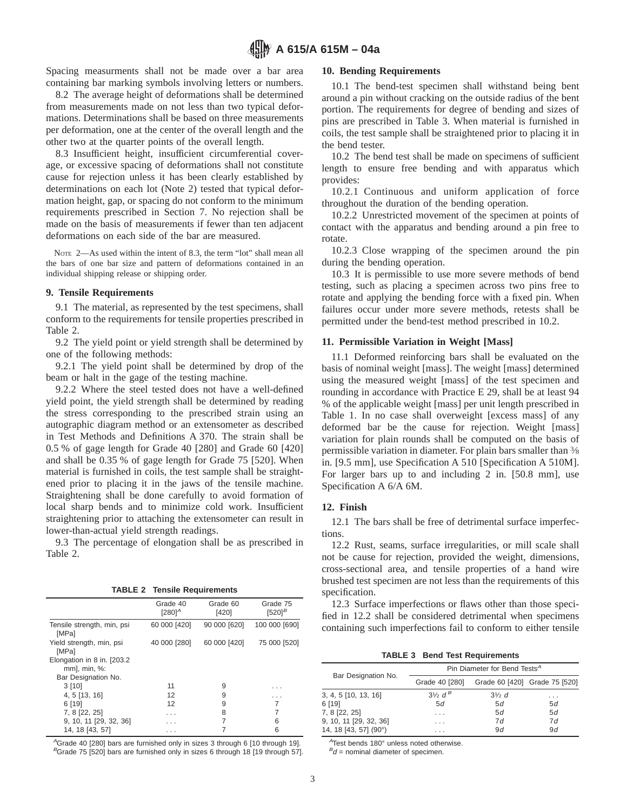Spacing measurments shall not be made over a bar area containing bar marking symbols involving letters or numbers.

8.2 The average height of deformations shall be determined from measurements made on not less than two typical deformations. Determinations shall be based on three measurements per deformation, one at the center of the overall length and the other two at the quarter points of the overall length.

8.3 Insufficient height, insufficient circumferential coverage, or excessive spacing of deformations shall not constitute cause for rejection unless it has been clearly established by determinations on each lot (Note 2) tested that typical deformation height, gap, or spacing do not conform to the minimum requirements prescribed in Section 7. No rejection shall be made on the basis of measurements if fewer than ten adjacent deformations on each side of the bar are measured.

NOTE 2—As used within the intent of 8.3, the term "lot" shall mean all the bars of one bar size and pattern of deformations contained in an individual shipping release or shipping order.

#### **9. Tensile Requirements**

9.1 The material, as represented by the test specimens, shall conform to the requirements for tensile properties prescribed in Table 2.

9.2 The yield point or yield strength shall be determined by one of the following methods:

9.2.1 The yield point shall be determined by drop of the beam or halt in the gage of the testing machine.

9.2.2 Where the steel tested does not have a well-defined yield point, the yield strength shall be determined by reading the stress corresponding to the prescribed strain using an autographic diagram method or an extensometer as described in Test Methods and Definitions A 370. The strain shall be 0.5 % of gage length for Grade 40 [280] and Grade 60 [420] and shall be 0.35 % of gage length for Grade 75 [520]. When material is furnished in coils, the test sample shall be straightened prior to placing it in the jaws of the tensile machine. Straightening shall be done carefully to avoid formation of local sharp bends and to minimize cold work. Insufficient straightening prior to attaching the extensometer can result in lower-than-actual yield strength readings.

9.3 The percentage of elongation shall be as prescribed in Table 2.

|  |  |  | <b>TABLE 2 Tensile Requirements</b> |  |  |  |
|--|--|--|-------------------------------------|--|--|--|
|--|--|--|-------------------------------------|--|--|--|

|                                                   | Grade 40<br>$[280]^{A}$ | Grade 60<br>[420] | Grade 75<br>$[520]$ <sup>B</sup> |
|---------------------------------------------------|-------------------------|-------------------|----------------------------------|
| Tensile strength, min, psi<br>[MPa]               | 60 000 [420]            | 90 000 [620]      | 100 000 [690]                    |
| Yield strength, min, psi<br>[MPa]                 | 40 000 [280]            | 60 000 [420]      | 75 000 [520]                     |
| Elongation in 8 in. [203.2]<br>$mm$ ], $min$ , %: |                         |                   |                                  |
| Bar Designation No.                               |                         |                   |                                  |
| 3[10]                                             | 11                      | 9                 |                                  |
| 4, 5 [13, 16]                                     | 12                      | 9                 |                                  |
| 6 [19]                                            | 12                      | 9                 |                                  |
| 7, 8 [22, 25]                                     | .                       | 8                 |                                  |
| 9, 10, 11 [29, 32, 36]                            | . .                     | 7                 | 6                                |
| 14, 18 [43, 57]                                   | .                       |                   | 6                                |

 $A$ Grade 40 [280] bars are furnished only in sizes 3 through 6 [10 through 19].  $B$ Grade 75 [520] bars are furnished only in sizes 6 through 18 [19 through 57].

#### **10. Bending Requirements**

10.1 The bend-test specimen shall withstand being bent around a pin without cracking on the outside radius of the bent portion. The requirements for degree of bending and sizes of pins are prescribed in Table 3. When material is furnished in coils, the test sample shall be straightened prior to placing it in the bend tester.

10.2 The bend test shall be made on specimens of sufficient length to ensure free bending and with apparatus which provides:

10.2.1 Continuous and uniform application of force throughout the duration of the bending operation.

10.2.2 Unrestricted movement of the specimen at points of contact with the apparatus and bending around a pin free to rotate.

10.2.3 Close wrapping of the specimen around the pin during the bending operation.

10.3 It is permissible to use more severe methods of bend testing, such as placing a specimen across two pins free to rotate and applying the bending force with a fixed pin. When failures occur under more severe methods, retests shall be permitted under the bend-test method prescribed in 10.2.

#### **11. Permissible Variation in Weight [Mass]**

11.1 Deformed reinforcing bars shall be evaluated on the basis of nominal weight [mass]. The weight [mass] determined using the measured weight [mass] of the test specimen and rounding in accordance with Practice E 29, shall be at least 94 % of the applicable weight [mass] per unit length prescribed in Table 1. In no case shall overweight [excess mass] of any deformed bar be the cause for rejection. Weight [mass] variation for plain rounds shall be computed on the basis of permissible variation in diameter. For plain bars smaller than 3⁄8 in. [9.5 mm], use Specification A 510 [Specification A 510M]. For larger bars up to and including 2 in. [50.8 mm], use Specification A 6/A 6M.

#### **12. Finish**

12.1 The bars shall be free of detrimental surface imperfections.

12.2 Rust, seams, surface irregularities, or mill scale shall not be cause for rejection, provided the weight, dimensions, cross-sectional area, and tensile properties of a hand wire brushed test specimen are not less than the requirements of this specification.

12.3 Surface imperfections or flaws other than those specified in 12.2 shall be considered detrimental when specimens containing such imperfections fail to conform to either tensile

**TABLE 3 Bend Test Requirements**

|                        | Pin Diameter for Bend Tests <sup>A</sup> |                               |    |  |  |  |
|------------------------|------------------------------------------|-------------------------------|----|--|--|--|
| Bar Designation No.    | Grade 40 [280]                           | Grade 60 [420] Grade 75 [520] |    |  |  |  |
| $3, 4, 5$ [10, 13, 16] | $3\frac{1}{2}$ d <sup>B</sup>            | $3\frac{1}{2}$ d              | .  |  |  |  |
| 6 [19]                 | 5d                                       | 5d                            | 5d |  |  |  |
| 7, 8 [22, 25]          | .                                        | 5d                            | 5d |  |  |  |
| 9, 10, 11 [29, 32, 36] | $\cdots$                                 | 7d                            | 7d |  |  |  |
| 14, 18 [43, 57] (90°)  | .                                        | 9d                            | 9d |  |  |  |

<sup>A</sup>Test bends 180° unless noted otherwise.

 $B_d$  = nominal diameter of specimen.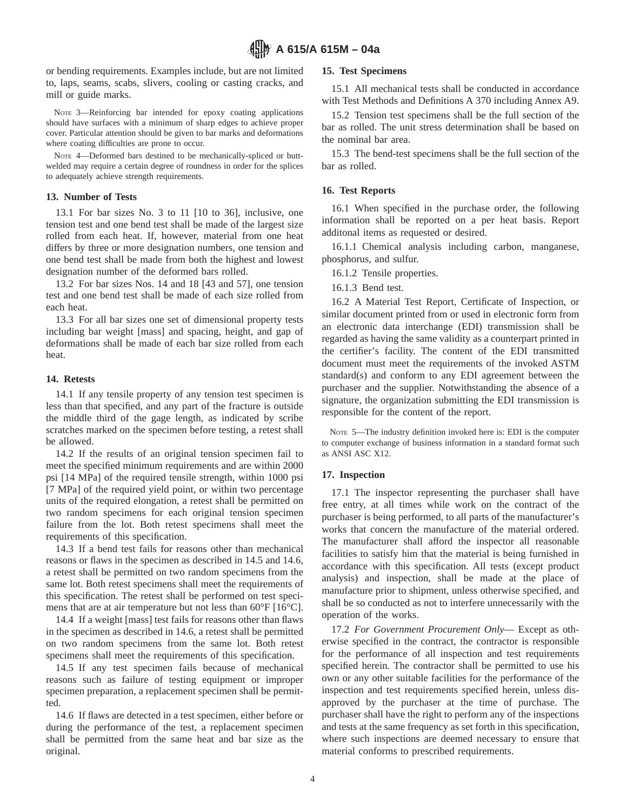or bending requirements. Examples include, but are not limited to, laps, seams, scabs, slivers, cooling or casting cracks, and mill or guide marks.

NOTE 3—Reinforcing bar intended for epoxy coating applications should have surfaces with a minimum of sharp edges to achieve proper cover. Particular attention should be given to bar marks and deformations where coating difficulties are prone to occur.

NOTE 4-Deformed bars destined to be mechanically-spliced or buttwelded may require a certain degree of roundness in order for the splices to adequately achieve strength requirements.

#### **13. Number of Tests**

13.1 For bar sizes No. 3 to 11 [10 to 36], inclusive, one tension test and one bend test shall be made of the largest size rolled from each heat. If, however, material from one heat differs by three or more designation numbers, one tension and one bend test shall be made from both the highest and lowest designation number of the deformed bars rolled.

13.2 For bar sizes Nos. 14 and 18 [43 and 57], one tension test and one bend test shall be made of each size rolled from each heat.

13.3 For all bar sizes one set of dimensional property tests including bar weight [mass] and spacing, height, and gap of deformations shall be made of each bar size rolled from each heat.

#### **14. Retests**

14.1 If any tensile property of any tension test specimen is less than that specified, and any part of the fracture is outside the middle third of the gage length, as indicated by scribe scratches marked on the specimen before testing, a retest shall be allowed.

14.2 If the results of an original tension specimen fail to meet the specified minimum requirements and are within 2000 psi [14 MPa] of the required tensile strength, within 1000 psi [7 MPa] of the required yield point, or within two percentage units of the required elongation, a retest shall be permitted on two random specimens for each original tension specimen failure from the lot. Both retest specimens shall meet the requirements of this specification.

14.3 If a bend test fails for reasons other than mechanical reasons or flaws in the specimen as described in 14.5 and 14.6, a retest shall be permitted on two random specimens from the same lot. Both retest specimens shall meet the requirements of this specification. The retest shall be performed on test specimens that are at air temperature but not less than 60°F [16°C].

14.4 If a weight [mass] test fails for reasons other than flaws in the specimen as described in 14.6, a retest shall be permitted on two random specimens from the same lot. Both retest specimens shall meet the requirements of this specification.

14.5 If any test specimen fails because of mechanical reasons such as failure of testing equipment or improper specimen preparation, a replacement specimen shall be permitted.

14.6 If flaws are detected in a test specimen, either before or during the performance of the test, a replacement specimen shall be permitted from the same heat and bar size as the original.

## **15. Test Specimens**

15.1 All mechanical tests shall be conducted in accordance with Test Methods and Definitions A 370 including Annex A9.

15.2 Tension test specimens shall be the full section of the bar as rolled. The unit stress determination shall be based on the nominal bar area.

15.3 The bend-test specimens shall be the full section of the bar as rolled.

## **16. Test Reports**

16.1 When specified in the purchase order, the following information shall be reported on a per heat basis. Report additonal items as requested or desired.

16.1.1 Chemical analysis including carbon, manganese, phosphorus, and sulfur.

16.1.2 Tensile properties.

16.1.3 Bend test.

16.2 A Material Test Report, Certificate of Inspection, or similar document printed from or used in electronic form from an electronic data interchange (EDI) transmission shall be regarded as having the same validity as a counterpart printed in the certifier's facility. The content of the EDI transmitted document must meet the requirements of the invoked ASTM standard(s) and conform to any EDI agreement between the purchaser and the supplier. Notwithstanding the absence of a signature, the organization submitting the EDI transmission is responsible for the content of the report.

NOTE 5—The industry definition invoked here is: EDI is the computer to computer exchange of business information in a standard format such as ANSI ASC X12.

## **17. Inspection**

17.1 The inspector representing the purchaser shall have free entry, at all times while work on the contract of the purchaser is being performed, to all parts of the manufacturer's works that concern the manufacture of the material ordered. The manufacturer shall afford the inspector all reasonable facilities to satisfy him that the material is being furnished in accordance with this specification. All tests (except product analysis) and inspection, shall be made at the place of manufacture prior to shipment, unless otherwise specified, and shall be so conducted as not to interfere unnecessarily with the operation of the works.

17.2 *For Government Procurement Only*— Except as otherwise specified in the contract, the contractor is responsible for the performance of all inspection and test requirements specified herein. The contractor shall be permitted to use his own or any other suitable facilities for the performance of the inspection and test requirements specified herein, unless disapproved by the purchaser at the time of purchase. The purchaser shall have the right to perform any of the inspections and tests at the same frequency as set forth in this specification, where such inspections are deemed necessary to ensure that material conforms to prescribed requirements.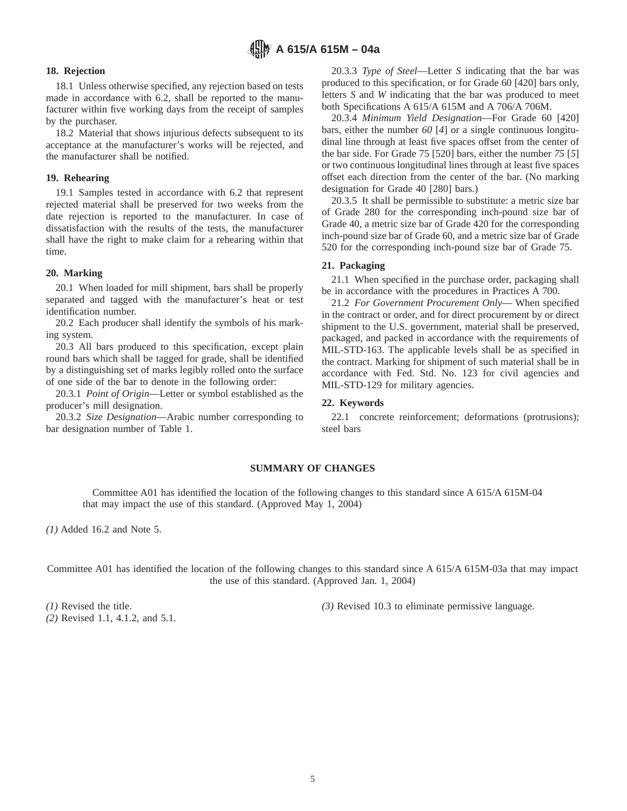# **18. Rejection**

18.1 Unless otherwise specified, any rejection based on tests made in accordance with 6.2, shall be reported to the manufacturer within five working days from the receipt of samples by the purchaser.

18.2 Material that shows injurious defects subsequent to its acceptance at the manufacturer's works will be rejected, and the manufacturer shall be notified.

## **19. Rehearing**

19.1 Samples tested in accordance with 6.2 that represent rejected material shall be preserved for two weeks from the date rejection is reported to the manufacturer. In case of dissatisfaction with the results of the tests, the manufacturer shall have the right to make claim for a rehearing within that time.

# **20. Marking**

20.1 When loaded for mill shipment, bars shall be properly separated and tagged with the manufacturer's heat or test identification number.

20.2 Each producer shall identify the symbols of his marking system.

20.3 All bars produced to this specification, except plain round bars which shall be tagged for grade, shall be identified by a distinguishing set of marks legibly rolled onto the surface of one side of the bar to denote in the following order:

20.3.1 *Point of Origin*—Letter or symbol established as the producer's mill designation.

20.3.2 *Size Designation*—Arabic number corresponding to bar designation number of Table 1.

20.3.3 *Type of Steel*—Letter *S* indicating that the bar was produced to this specification, or for Grade 60 [420] bars only, letters *S* and *W* indicating that the bar was produced to meet both Specifications A 615/A 615M and A 706/A 706M.

20.3.4 *Minimum Yield Designation*—For Grade 60 [420] bars, either the number *60* [*4*] or a single continuous longitudinal line through at least five spaces offset from the center of the bar side. For Grade 75 [520] bars, either the number *75* [*5*] or two continuous longitudinal lines through at least five spaces offset each direction from the center of the bar. (No marking designation for Grade 40 [280] bars.)

20.3.5 It shall be permissible to substitute: a metric size bar of Grade 280 for the corresponding inch-pound size bar of Grade 40, a metric size bar of Grade 420 for the corresponding inch-pound size bar of Grade 60, and a metric size bar of Grade 520 for the corresponding inch-pound size bar of Grade 75.

# **21. Packaging**

21.1 When specified in the purchase order, packaging shall be in accordance with the procedures in Practices A 700.

21.2 *For Government Procurement Only*— When specified in the contract or order, and for direct procurement by or direct shipment to the U.S. government, material shall be preserved, packaged, and packed in accordance with the requirements of MIL-STD-163. The applicable levels shall be as specified in the contract. Marking for shipment of such material shall be in accordance with Fed. Std. No. 123 for civil agencies and MIL-STD-129 for military agencies.

# **22. Keywords**

22.1 concrete reinforcement; deformations (protrusions); steel bars

# **SUMMARY OF CHANGES**

Committee A01 has identified the location of the following changes to this standard since A 615/A 615M-04 that may impact the use of this standard. (Approved May 1, 2004)

*(1)* Added 16.2 and Note 5.

Committee A01 has identified the location of the following changes to this standard since A 615/A 615M-03a that may impact the use of this standard. (Approved Jan. 1, 2004)

*(1)* Revised the title.

*(2)* Revised 1.1, 4.1.2, and 5.1.

*(3)* Revised 10.3 to eliminate permissive language.